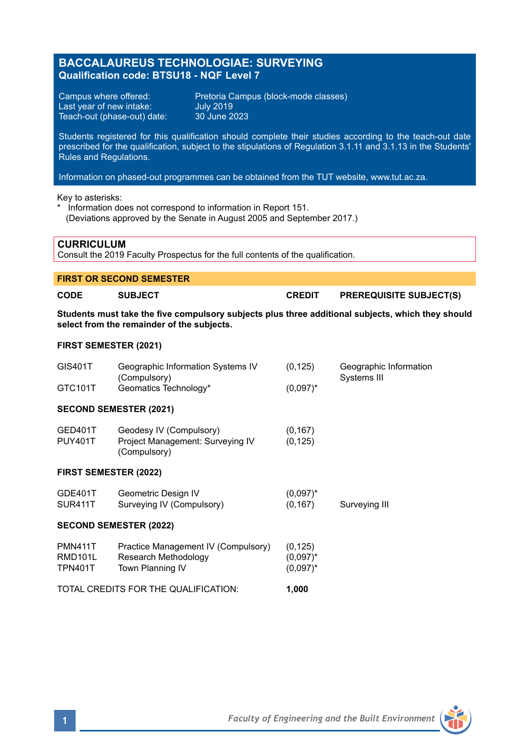# **BACCALAUREUS TECHNOLOGIAE: SURVEYING Qualification code: BTSU18 - NQF Level 7**

Last year of new intake: Teach-out (phase-out) date:

Campus where offered: Pretoria Campus (block-mode classes)<br>
Last year of new intake: July 2019<br>
Teach-out (phase-out) date: 30 June 2023

Students registered for this qualification should complete their studies according to the teach-out date prescribed for the qualification, subject to the stipulations of Regulation 3.1.11 and 3.1.13 in the Students' Rules and Regulations.

Information on phased-out programmes can be obtained from the TUT website, www.tut.ac.za.

Key to asterisks:

\* Information does not correspond to information in Report 151. (Deviations approved by the Senate in August 2005 and September 2017.)

### **CURRICULUM**

Consult the 2019 Faculty Prospectus for the full contents of the qualification.

# **FIRST OR SECOND SEMESTER**

**CODE SUBJECT CREDIT PREREQUISITE SUBJECT(S)**

**Students must take the five compulsory subjects plus three additional subjects, which they should select from the remainder of the subjects.**

#### **FIRST SEMESTER (2021)**

| GIS401T                                     | Geographic Information Systems IV<br>(Compulsory)                               | (0, 125)                               | Geographic Information<br>Systems III |
|---------------------------------------------|---------------------------------------------------------------------------------|----------------------------------------|---------------------------------------|
| GTC101T                                     | Geomatics Technology*                                                           | $(0.097)^*$                            |                                       |
| <b>SECOND SEMESTER (2021)</b>               |                                                                                 |                                        |                                       |
| GED401T<br><b>PUY401T</b>                   | Geodesy IV (Compulsory)<br>Project Management: Surveying IV<br>(Compulsory)     | (0, 167)<br>(0, 125)                   |                                       |
| <b>FIRST SEMESTER (2022)</b>                |                                                                                 |                                        |                                       |
| GDE401T<br>SUR411T                          | Geometric Design IV<br>Surveying IV (Compulsory)                                | $(0.097)^*$<br>(0, 167)                | Surveying III                         |
| <b>SECOND SEMESTER (2022)</b>               |                                                                                 |                                        |                                       |
| <b>PMN411T</b><br>RMD101L<br><b>TPN401T</b> | Practice Management IV (Compulsory)<br>Research Methodology<br>Town Planning IV | (0, 125)<br>$(0.097)^*$<br>$(0.097)^*$ |                                       |
| TOTAL CREDITS FOR THE QUALIFICATION:        |                                                                                 | 1,000                                  |                                       |

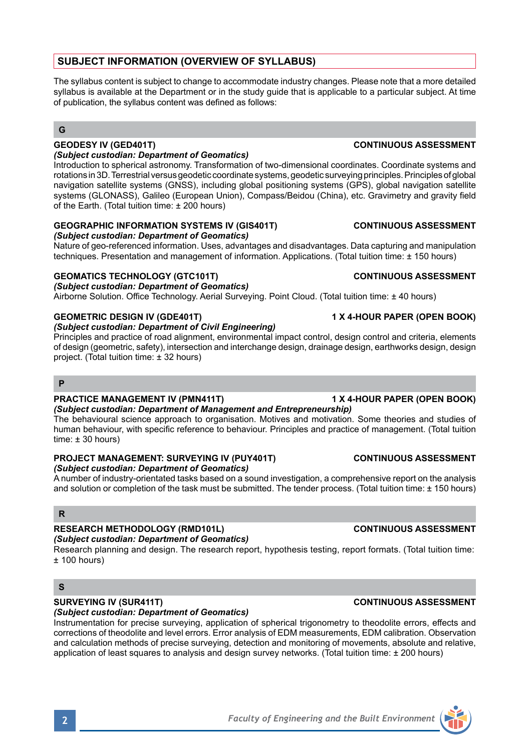# **SUBJECT INFORMATION (OVERVIEW OF SYLLABUS)**

The syllabus content is subject to change to accommodate industry changes. Please note that a more detailed syllabus is available at the Department or in the study guide that is applicable to a particular subject. At time of publication, the syllabus content was defined as follows:

### **G**

#### *(Subject custodian: Department of Geomatics)*

Introduction to spherical astronomy. Transformation of two-dimensional coordinates. Coordinate systems and rotations in 3D. Terrestrial versus geodetic coordinate systems, geodetic surveying principles. Principles of global navigation satellite systems (GNSS), including global positioning systems (GPS), global navigation satellite systems (GLONASS), Galileo (European Union), Compass/Beidou (China), etc. Gravimetry and gravity field of the Earth. (Total tuition time: ± 200 hours)

#### **GEOGRAPHIC INFORMATION SYSTEMS IV (GIS401T) CONTINUOUS ASSESSMENT** *(Subject custodian: Department of Geomatics)*

Nature of geo-referenced information. Uses, advantages and disadvantages. Data capturing and manipulation techniques. Presentation and management of information. Applications. (Total tuition time: ± 150 hours)

### **GEOMATICS TECHNOLOGY (GTC101T) CONTINUOUS ASSESSMENT**

*(Subject custodian: Department of Geomatics)*

Airborne Solution. Office Technology. Aerial Surveying. Point Cloud. (Total tuition time: ± 40 hours)

### **GEOMETRIC DESIGN IV (GDE401T) 1 X 4-HOUR PAPER (OPEN BOOK)**

# *(Subject custodian: Department of Civil Engineering)*

Principles and practice of road alignment, environmental impact control, design control and criteria, elements of design (geometric, safety), intersection and interchange design, drainage design, earthworks design, design project. (Total tuition time: ± 32 hours)

### **P**

### **PRACTICE MANAGEMENT IV (PMN411T) 1 X 4-HOUR PAPER (OPEN BOOK)**

*(Subject custodian: Department of Management and Entrepreneurship)* The behavioural science approach to organisation. Motives and motivation. Some theories and studies of human behaviour, with specific reference to behaviour. Principles and practice of management. (Total tuition time:  $\pm$  30 hours)

#### **PROJECT MANAGEMENT: SURVEYING IV (PUY401T) CONTINUOUS ASSESSMENT** *(Subject custodian: Department of Geomatics)*

A number of industry-orientated tasks based on a sound investigation, a comprehensive report on the analysis and solution or completion of the task must be submitted. The tender process. (Total tuition time: ± 150 hours)

## **R**

## **RESEARCH METHODOLOGY (RMD101L) CONTINUOUS ASSESSMENT**

### *(Subject custodian: Department of Geomatics)*

Research planning and design. The research report, hypothesis testing, report formats. (Total tuition time:  $± 100$  hours)

## **S**

## **SURVEYING IV (SUR411T) CONTINUOUS ASSESSMENT**

### *(Subject custodian: Department of Geomatics)*

Instrumentation for precise surveying, application of spherical trigonometry to theodolite errors, effects and corrections of theodolite and level errors. Error analysis of EDM measurements, EDM calibration. Observation and calculation methods of precise surveying, detection and monitoring of movements, absolute and relative, application of least squares to analysis and design survey networks. (Total tuition time: ± 200 hours)

# **GEODESY IV (GED401T) CONTINUOUS ASSESSMENT**